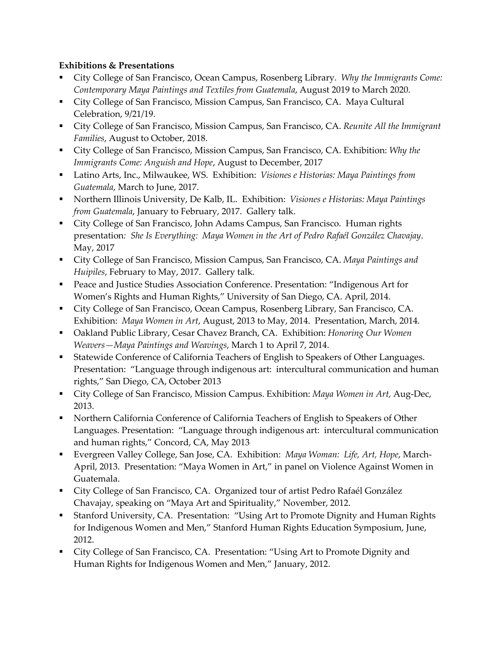## Exhibitions & Presentations

- City College of San Francisco, Ocean Campus, Rosenberg Library. *Why the Immigrants Come: Contemporary Maya Paintings and Textiles from Guatemala*, August 2019 to March 2020.
- City College of San Francisco, Mission Campus, San Francisco, CA. Maya Cultural Celebration, 9/21/19.
- City College of San Francisco, Mission Campus, San Francisco, CA. *Reunite All the Immigrant Families*, August to October, 2018.
- City College of San Francisco, Mission Campus, San Francisco, CA. Exhibition: *Why the Immigrants Come: Anguish and Hope*, August to December, 2017
- Latino Arts, Inc., Milwaukee, WS. Exhibition: *Visiones e Historias: Maya Paintings from Guatemala*, March to June, 2017.
- Northern Illinois University, De Kalb, IL. Exhibition: *Visiones e Historias: Maya Paintings from Guatemala*, January to February, 2017. Gallery talk.
- City College of San Francisco, John Adams Campus, San Francisco. Human rights presentation*: She Is Everything: Maya Women in the Art of Pedro Rafaél González Chavajay*. May, 2017
- City College of San Francisco, Mission Campus, San Francisco, CA. *Maya Paintings and Huipiles*, February to May, 2017. Gallery talk.
- Peace and Justice Studies Association Conference. Presentation: "Indigenous Art for Women's Rights and Human Rights," University of San Diego, CA. April, 2014.
- City College of San Francisco, Ocean Campus, Rosenberg Library, San Francisco, CA. Exhibition: *Maya Women in Art*, August, 2013 to May, 2014. Presentation, March, 2014.
- Oakland Public Library, Cesar Chavez Branch, CA. Exhibition: *Honoring Our Women Weavers—Maya Paintings and Weavings*, March 1 to April 7, 2014.
- Statewide Conference of California Teachers of English to Speakers of Other Languages. Presentation: "Language through indigenous art: intercultural communication and human rights," San Diego, CA, October 2013
- City College of San Francisco, Mission Campus. Exhibition: *Maya Women in Art,* Aug-Dec, 2013.
- **Northern California Conference of California Teachers of English to Speakers of Other** Languages. Presentation: "Language through indigenous art: intercultural communication and human rights," Concord, CA, May 2013
- Evergreen Valley College, San Jose, CA. Exhibition: *Maya Woman: Life, Art, Hope*, March-April, 2013. Presentation: "Maya Women in Art," in panel on Violence Against Women in Guatemala.
- City College of San Francisco, CA. Organized tour of artist Pedro Rafaél González Chavajay, speaking on "Maya Art and Spirituality," November, 2012.
- Stanford University, CA. Presentation: "Using Art to Promote Dignity and Human Rights for Indigenous Women and Men," Stanford Human Rights Education Symposium, June, 2012.
- City College of San Francisco, CA. Presentation: "Using Art to Promote Dignity and Human Rights for Indigenous Women and Men," January, 2012.